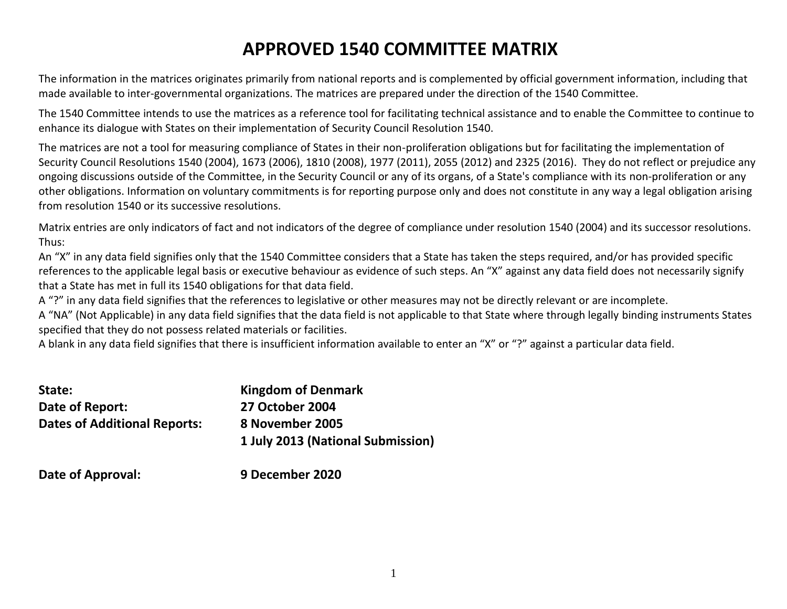# **APPROVED 1540 COMMITTEE MATRIX**

The information in the matrices originates primarily from national reports and is complemented by official government information, including that made available to inter-governmental organizations. The matrices are prepared under the direction of the 1540 Committee.

The 1540 Committee intends to use the matrices as a reference tool for facilitating technical assistance and to enable the Committee to continue to enhance its dialogue with States on their implementation of Security Council Resolution 1540.

The matrices are not a tool for measuring compliance of States in their non-proliferation obligations but for facilitating the implementation of Security Council Resolutions 1540 (2004), 1673 (2006), 1810 (2008), 1977 (2011), 2055 (2012) and 2325 (2016). They do not reflect or prejudice any ongoing discussions outside of the Committee, in the Security Council or any of its organs, of a State's compliance with its non-proliferation or any other obligations. Information on voluntary commitments is for reporting purpose only and does not constitute in any way a legal obligation arising from resolution 1540 or its successive resolutions.

Matrix entries are only indicators of fact and not indicators of the degree of compliance under resolution 1540 (2004) and its successor resolutions. Thus:

An "X" in any data field signifies only that the 1540 Committee considers that a State has taken the steps required, and/or has provided specific references to the applicable legal basis or executive behaviour as evidence of such steps. An "X" against any data field does not necessarily signify that a State has met in full its 1540 obligations for that data field.

A "?" in any data field signifies that the references to legislative or other measures may not be directly relevant or are incomplete.

A "NA" (Not Applicable) in any data field signifies that the data field is not applicable to that State where through legally binding instruments States specified that they do not possess related materials or facilities.

A blank in any data field signifies that there is insufficient information available to enter an "X" or "?" against a particular data field.

| State:                              | <b>Kingdom of Denmark</b>         |
|-------------------------------------|-----------------------------------|
| Date of Report:                     | <b>27 October 2004</b>            |
| <b>Dates of Additional Reports:</b> | 8 November 2005                   |
|                                     | 1 July 2013 (National Submission) |
|                                     |                                   |

**Date of Approval: 9 December 2020**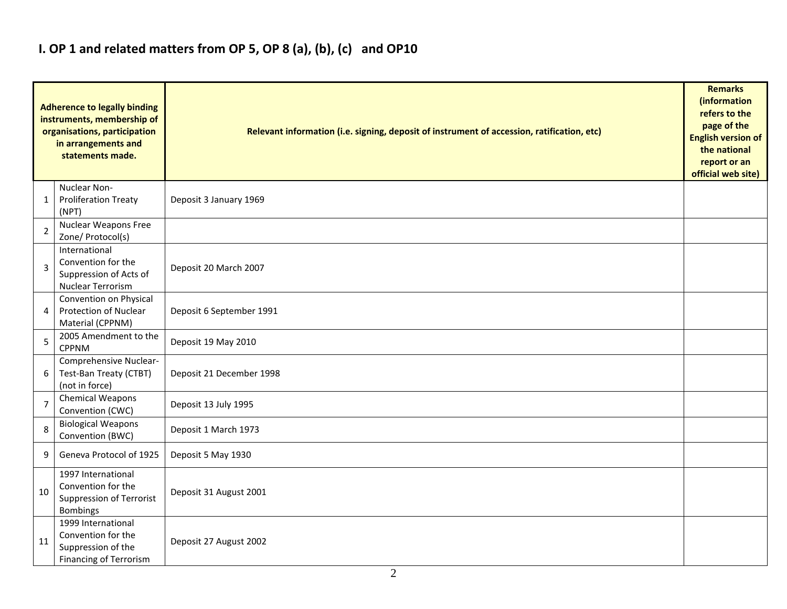## **I. OP 1 and related matters from OP 5, OP 8 (a), (b), (c) and OP10**

|                | <b>Adherence to legally binding</b><br>instruments, membership of<br>organisations, participation<br>in arrangements and<br>statements made. | Relevant information (i.e. signing, deposit of instrument of accession, ratification, etc) |  |  |  |  |  |  |  |  |
|----------------|----------------------------------------------------------------------------------------------------------------------------------------------|--------------------------------------------------------------------------------------------|--|--|--|--|--|--|--|--|
| 1              | Nuclear Non-<br><b>Proliferation Treaty</b><br>(NPT)                                                                                         | Deposit 3 January 1969                                                                     |  |  |  |  |  |  |  |  |
| $\overline{2}$ | Nuclear Weapons Free<br>Zone/ Protocol(s)                                                                                                    |                                                                                            |  |  |  |  |  |  |  |  |
| 3              | International<br>Convention for the<br>Suppression of Acts of<br>Nuclear Terrorism                                                           | Deposit 20 March 2007                                                                      |  |  |  |  |  |  |  |  |
| 4              | Convention on Physical<br><b>Protection of Nuclear</b><br>Material (CPPNM)                                                                   | Deposit 6 September 1991                                                                   |  |  |  |  |  |  |  |  |
| 5              | 2005 Amendment to the<br><b>CPPNM</b>                                                                                                        | Deposit 19 May 2010                                                                        |  |  |  |  |  |  |  |  |
| 6              | Comprehensive Nuclear-<br>Test-Ban Treaty (CTBT)<br>(not in force)                                                                           | Deposit 21 December 1998                                                                   |  |  |  |  |  |  |  |  |
| $\overline{7}$ | Chemical Weapons<br>Convention (CWC)                                                                                                         | Deposit 13 July 1995                                                                       |  |  |  |  |  |  |  |  |
| 8              | <b>Biological Weapons</b><br>Convention (BWC)                                                                                                | Deposit 1 March 1973                                                                       |  |  |  |  |  |  |  |  |
| 9              | Geneva Protocol of 1925                                                                                                                      | Deposit 5 May 1930                                                                         |  |  |  |  |  |  |  |  |
| 10             | 1997 International<br>Convention for the<br>Suppression of Terrorist<br>Bombings                                                             | Deposit 31 August 2001                                                                     |  |  |  |  |  |  |  |  |
| 11             | 1999 International<br>Convention for the<br>Suppression of the<br><b>Financing of Terrorism</b>                                              | Deposit 27 August 2002                                                                     |  |  |  |  |  |  |  |  |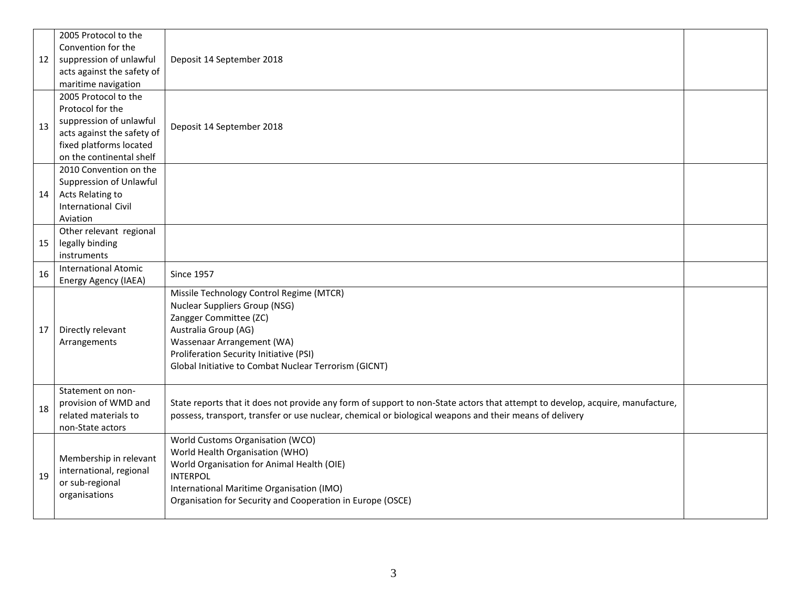| 12 | 2005 Protocol to the<br>Convention for the<br>suppression of unlawful<br>acts against the safety of<br>maritime navigation                               | Deposit 14 September 2018                                                                                                                                                                                                                                            |  |
|----|----------------------------------------------------------------------------------------------------------------------------------------------------------|----------------------------------------------------------------------------------------------------------------------------------------------------------------------------------------------------------------------------------------------------------------------|--|
| 13 | 2005 Protocol to the<br>Protocol for the<br>suppression of unlawful<br>acts against the safety of<br>fixed platforms located<br>on the continental shelf | Deposit 14 September 2018                                                                                                                                                                                                                                            |  |
| 14 | 2010 Convention on the<br>Suppression of Unlawful<br>Acts Relating to<br><b>International Civil</b><br>Aviation                                          |                                                                                                                                                                                                                                                                      |  |
| 15 | Other relevant regional<br>legally binding<br>instruments                                                                                                |                                                                                                                                                                                                                                                                      |  |
| 16 | <b>International Atomic</b><br>Energy Agency (IAEA)                                                                                                      | <b>Since 1957</b>                                                                                                                                                                                                                                                    |  |
| 17 | Directly relevant<br>Arrangements                                                                                                                        | Missile Technology Control Regime (MTCR)<br><b>Nuclear Suppliers Group (NSG)</b><br>Zangger Committee (ZC)<br>Australia Group (AG)<br>Wassenaar Arrangement (WA)<br>Proliferation Security Initiative (PSI)<br>Global Initiative to Combat Nuclear Terrorism (GICNT) |  |
| 18 | Statement on non-<br>provision of WMD and<br>related materials to<br>non-State actors                                                                    | State reports that it does not provide any form of support to non-State actors that attempt to develop, acquire, manufacture,<br>possess, transport, transfer or use nuclear, chemical or biological weapons and their means of delivery                             |  |
| 19 | Membership in relevant<br>international, regional<br>or sub-regional<br>organisations                                                                    | World Customs Organisation (WCO)<br>World Health Organisation (WHO)<br>World Organisation for Animal Health (OIE)<br><b>INTERPOL</b><br>International Maritime Organisation (IMO)<br>Organisation for Security and Cooperation in Europe (OSCE)                      |  |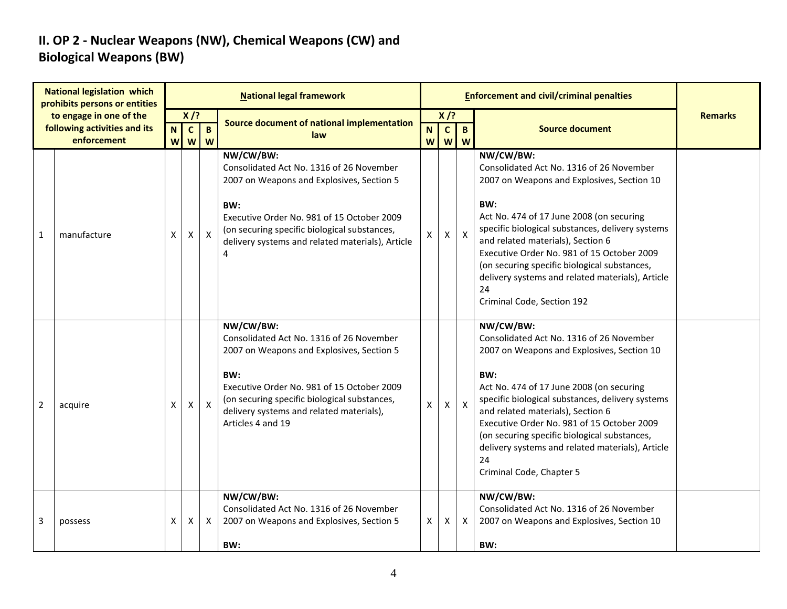### **II. OP 2 - Nuclear Weapons (NW), Chemical Weapons (CW) and Biological Weapons (BW)**

|                | <b>National legislation which</b><br>prohibits persons or entities |             |                                |                   | <b>National legal framework</b>                                                                                                                                                                                                                                          |        |                        | <b>Enforcement and civil/criminal penalties</b> |                                                                                                                                                                                                                                                                                                                                                                                                                                       |                |
|----------------|--------------------------------------------------------------------|-------------|--------------------------------|-------------------|--------------------------------------------------------------------------------------------------------------------------------------------------------------------------------------------------------------------------------------------------------------------------|--------|------------------------|-------------------------------------------------|---------------------------------------------------------------------------------------------------------------------------------------------------------------------------------------------------------------------------------------------------------------------------------------------------------------------------------------------------------------------------------------------------------------------------------------|----------------|
|                | to engage in one of the<br>following activities and its            | $\mathbf N$ | $X$ /?<br>$\mathbf{C}$         | B                 | Source document of national implementation<br>law                                                                                                                                                                                                                        | N      | $X$ /?<br>$\mathbf{C}$ | $\mathbf{B}$                                    | <b>Source document</b>                                                                                                                                                                                                                                                                                                                                                                                                                | <b>Remarks</b> |
| 1              | enforcement<br>manufacture                                         | W<br>X      | $\boldsymbol{\mathsf{W}}$<br>X | W<br>$\mathsf{X}$ | NW/CW/BW:<br>Consolidated Act No. 1316 of 26 November<br>2007 on Weapons and Explosives, Section 5<br>BW:<br>Executive Order No. 981 of 15 October 2009<br>(on securing specific biological substances,<br>delivery systems and related materials), Article<br>4         | W<br>X | W<br>Χ                 | W<br>$\boldsymbol{X}$                           | NW/CW/BW:<br>Consolidated Act No. 1316 of 26 November<br>2007 on Weapons and Explosives, Section 10<br>BW:<br>Act No. 474 of 17 June 2008 (on securing<br>specific biological substances, delivery systems<br>and related materials), Section 6<br>Executive Order No. 981 of 15 October 2009<br>(on securing specific biological substances,<br>delivery systems and related materials), Article<br>24<br>Criminal Code, Section 192 |                |
| $\overline{2}$ | acquire                                                            | X           | X                              | $\mathsf{X}$      | NW/CW/BW:<br>Consolidated Act No. 1316 of 26 November<br>2007 on Weapons and Explosives, Section 5<br>BW:<br>Executive Order No. 981 of 15 October 2009<br>(on securing specific biological substances,<br>delivery systems and related materials),<br>Articles 4 and 19 | X      | X                      | $\boldsymbol{X}$                                | NW/CW/BW:<br>Consolidated Act No. 1316 of 26 November<br>2007 on Weapons and Explosives, Section 10<br>BW:<br>Act No. 474 of 17 June 2008 (on securing<br>specific biological substances, delivery systems<br>and related materials), Section 6<br>Executive Order No. 981 of 15 October 2009<br>(on securing specific biological substances,<br>delivery systems and related materials), Article<br>24<br>Criminal Code, Chapter 5   |                |
| 3              | possess                                                            | X           | Χ                              | $\mathsf{X}$      | NW/CW/BW:<br>Consolidated Act No. 1316 of 26 November<br>2007 on Weapons and Explosives, Section 5<br>BW:                                                                                                                                                                | X      | Χ                      | $\mathsf{X}$                                    | NW/CW/BW:<br>Consolidated Act No. 1316 of 26 November<br>2007 on Weapons and Explosives, Section 10<br>BW:                                                                                                                                                                                                                                                                                                                            |                |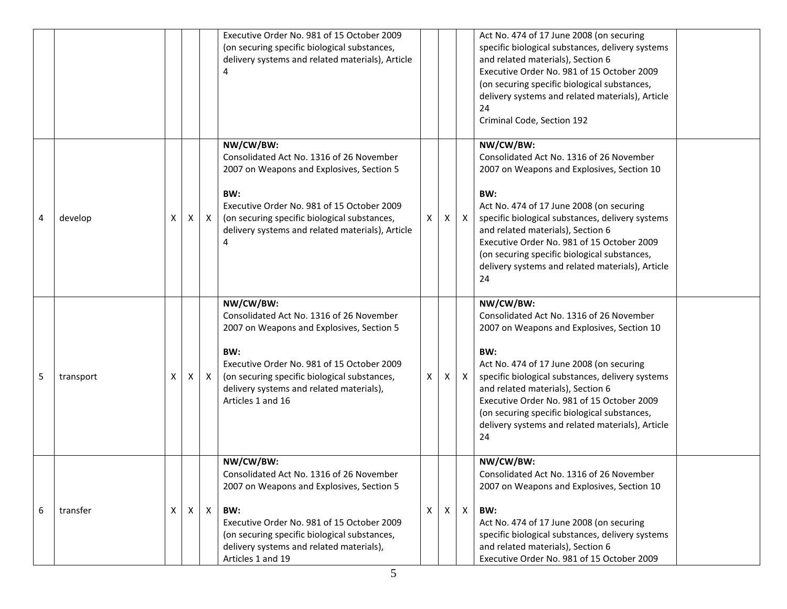|   |           |   |   |              | Executive Order No. 981 of 15 October 2009<br>(on securing specific biological substances,<br>delivery systems and related materials), Article                                                                                                                           |   |    |                           | Act No. 474 of 17 June 2008 (on securing<br>specific biological substances, delivery systems<br>and related materials), Section 6<br>Executive Order No. 981 of 15 October 2009<br>(on securing specific biological substances,<br>delivery systems and related materials), Article<br>24<br>Criminal Code, Section 192                                                                                 |  |
|---|-----------|---|---|--------------|--------------------------------------------------------------------------------------------------------------------------------------------------------------------------------------------------------------------------------------------------------------------------|---|----|---------------------------|---------------------------------------------------------------------------------------------------------------------------------------------------------------------------------------------------------------------------------------------------------------------------------------------------------------------------------------------------------------------------------------------------------|--|
| 4 | develop   | X | X | $\mathsf{X}$ | NW/CW/BW:<br>Consolidated Act No. 1316 of 26 November<br>2007 on Weapons and Explosives, Section 5<br>BW:<br>Executive Order No. 981 of 15 October 2009<br>(on securing specific biological substances,<br>delivery systems and related materials), Article<br>4         | X | X. | $\boldsymbol{\mathsf{X}}$ | NW/CW/BW:<br>Consolidated Act No. 1316 of 26 November<br>2007 on Weapons and Explosives, Section 10<br>BW:<br>Act No. 474 of 17 June 2008 (on securing<br>specific biological substances, delivery systems<br>and related materials), Section 6<br>Executive Order No. 981 of 15 October 2009<br>(on securing specific biological substances,<br>delivery systems and related materials), Article<br>24 |  |
| 5 | transport | х | X | X            | NW/CW/BW:<br>Consolidated Act No. 1316 of 26 November<br>2007 on Weapons and Explosives, Section 5<br>BW:<br>Executive Order No. 981 of 15 October 2009<br>(on securing specific biological substances,<br>delivery systems and related materials),<br>Articles 1 and 16 | X | X  | $\mathsf{X}$              | NW/CW/BW:<br>Consolidated Act No. 1316 of 26 November<br>2007 on Weapons and Explosives, Section 10<br>BW:<br>Act No. 474 of 17 June 2008 (on securing<br>specific biological substances, delivery systems<br>and related materials), Section 6<br>Executive Order No. 981 of 15 October 2009<br>(on securing specific biological substances,<br>delivery systems and related materials), Article<br>24 |  |
| 6 | transfer  | X | X | $\mathsf{X}$ | NW/CW/BW:<br>Consolidated Act No. 1316 of 26 November<br>2007 on Weapons and Explosives, Section 5<br>BW:<br>Executive Order No. 981 of 15 October 2009<br>(on securing specific biological substances,<br>delivery systems and related materials),<br>Articles 1 and 19 | X | X. | $\mathsf{X}$              | NW/CW/BW:<br>Consolidated Act No. 1316 of 26 November<br>2007 on Weapons and Explosives, Section 10<br>BW:<br>Act No. 474 of 17 June 2008 (on securing<br>specific biological substances, delivery systems<br>and related materials), Section 6<br>Executive Order No. 981 of 15 October 2009                                                                                                           |  |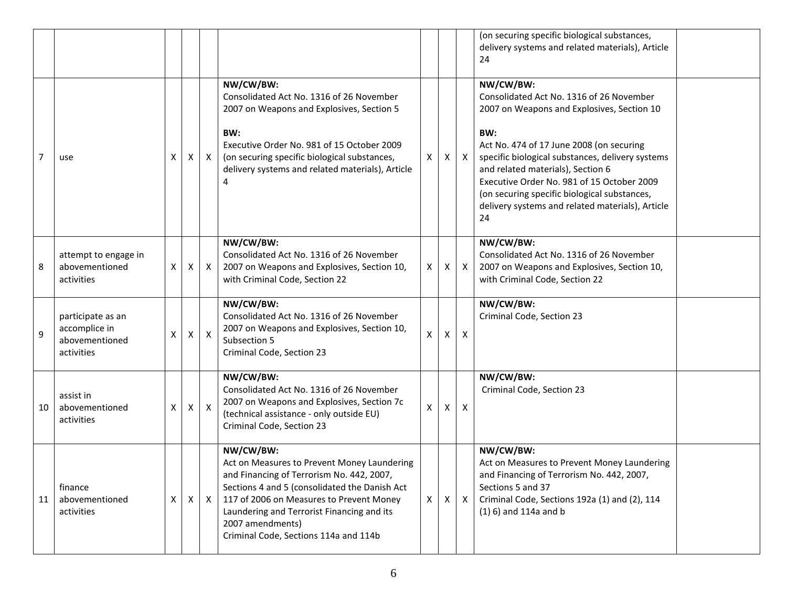|                |                                                                    |              |   |              |                                                                                                                                                                                                                                                                                                               |              |              |                           | (on securing specific biological substances,<br>delivery systems and related materials), Article<br>24                                                                                                                                                                                                                                                                                                  |  |
|----------------|--------------------------------------------------------------------|--------------|---|--------------|---------------------------------------------------------------------------------------------------------------------------------------------------------------------------------------------------------------------------------------------------------------------------------------------------------------|--------------|--------------|---------------------------|---------------------------------------------------------------------------------------------------------------------------------------------------------------------------------------------------------------------------------------------------------------------------------------------------------------------------------------------------------------------------------------------------------|--|
| $\overline{7}$ | use                                                                | X            | Χ | X            | NW/CW/BW:<br>Consolidated Act No. 1316 of 26 November<br>2007 on Weapons and Explosives, Section 5<br>BW:<br>Executive Order No. 981 of 15 October 2009<br>(on securing specific biological substances,<br>delivery systems and related materials), Article<br>4                                              | X            | X.           | $\mathsf{X}$              | NW/CW/BW:<br>Consolidated Act No. 1316 of 26 November<br>2007 on Weapons and Explosives, Section 10<br>BW:<br>Act No. 474 of 17 June 2008 (on securing<br>specific biological substances, delivery systems<br>and related materials), Section 6<br>Executive Order No. 981 of 15 October 2009<br>(on securing specific biological substances,<br>delivery systems and related materials), Article<br>24 |  |
| 8              | attempt to engage in<br>abovementioned<br>activities               | X            | X | $\mathsf{X}$ | NW/CW/BW:<br>Consolidated Act No. 1316 of 26 November<br>2007 on Weapons and Explosives, Section 10,<br>with Criminal Code, Section 22                                                                                                                                                                        | Χ            | X            | $\mathsf{X}$              | NW/CW/BW:<br>Consolidated Act No. 1316 of 26 November<br>2007 on Weapons and Explosives, Section 10,<br>with Criminal Code, Section 22                                                                                                                                                                                                                                                                  |  |
| 9              | participate as an<br>accomplice in<br>abovementioned<br>activities | X            | X | $\mathsf{X}$ | NW/CW/BW:<br>Consolidated Act No. 1316 of 26 November<br>2007 on Weapons and Explosives, Section 10,<br>Subsection 5<br>Criminal Code, Section 23                                                                                                                                                             | $\mathsf{X}$ | $\mathsf{X}$ | $\boldsymbol{\mathsf{X}}$ | NW/CW/BW:<br>Criminal Code, Section 23                                                                                                                                                                                                                                                                                                                                                                  |  |
| 10             | assist in<br>abovementioned<br>activities                          | X            | X | $\mathsf{X}$ | NW/CW/BW:<br>Consolidated Act No. 1316 of 26 November<br>2007 on Weapons and Explosives, Section 7c<br>(technical assistance - only outside EU)<br>Criminal Code, Section 23                                                                                                                                  | Χ            | X.           | $\boldsymbol{\mathsf{X}}$ | NW/CW/BW:<br>Criminal Code, Section 23                                                                                                                                                                                                                                                                                                                                                                  |  |
| 11             | finance<br>abovementioned<br>activities                            | $\mathsf{X}$ | X | $\mathsf{X}$ | NW/CW/BW:<br>Act on Measures to Prevent Money Laundering<br>and Financing of Terrorism No. 442, 2007,<br>Sections 4 and 5 (consolidated the Danish Act<br>117 of 2006 on Measures to Prevent Money<br>Laundering and Terrorist Financing and its<br>2007 amendments)<br>Criminal Code, Sections 114a and 114b | $\mathsf{X}$ | X            | $\mathsf{X}$              | NW/CW/BW:<br>Act on Measures to Prevent Money Laundering<br>and Financing of Terrorism No. 442, 2007,<br>Sections 5 and 37<br>Criminal Code, Sections 192a (1) and (2), 114<br>$(1)$ 6) and 114a and b                                                                                                                                                                                                  |  |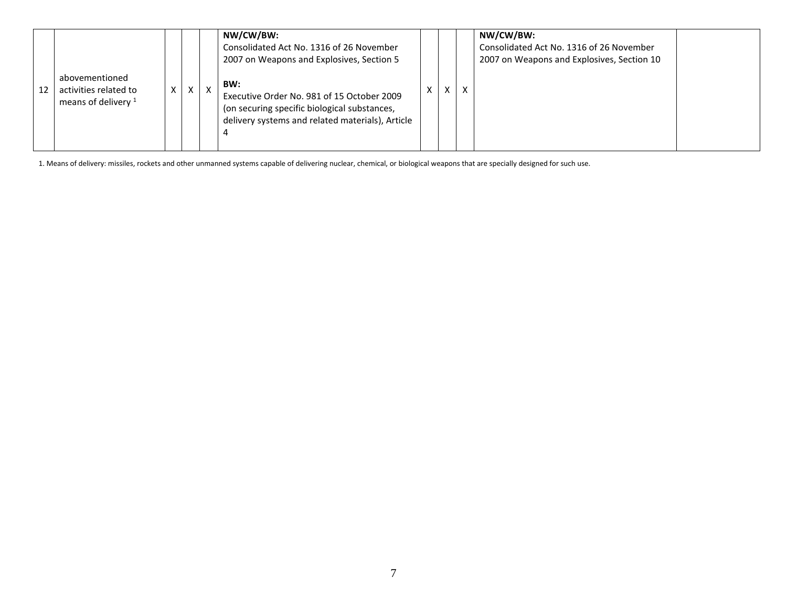| abovementioned<br>activities related to<br>12<br>means of delivery $1$ | X | $\mathsf{X}$ | NW/CW/BW:<br>Consolidated Act No. 1316 of 26 November<br>2007 on Weapons and Explosives, Section 5<br>BW:<br>v<br>Executive Order No. 981 of 15 October 2009<br>(on securing specific biological substances,<br>delivery systems and related materials), Article<br>4 | ⋏ | X | X | NW/CW/BW:<br>Consolidated Act No. 1316 of 26 November<br>2007 on Weapons and Explosives, Section 10 |  |
|------------------------------------------------------------------------|---|--------------|-----------------------------------------------------------------------------------------------------------------------------------------------------------------------------------------------------------------------------------------------------------------------|---|---|---|-----------------------------------------------------------------------------------------------------|--|
|------------------------------------------------------------------------|---|--------------|-----------------------------------------------------------------------------------------------------------------------------------------------------------------------------------------------------------------------------------------------------------------------|---|---|---|-----------------------------------------------------------------------------------------------------|--|

1. Means of delivery: missiles, rockets and other unmanned systems capable of delivering nuclear, chemical, or biological weapons that are specially designed for such use.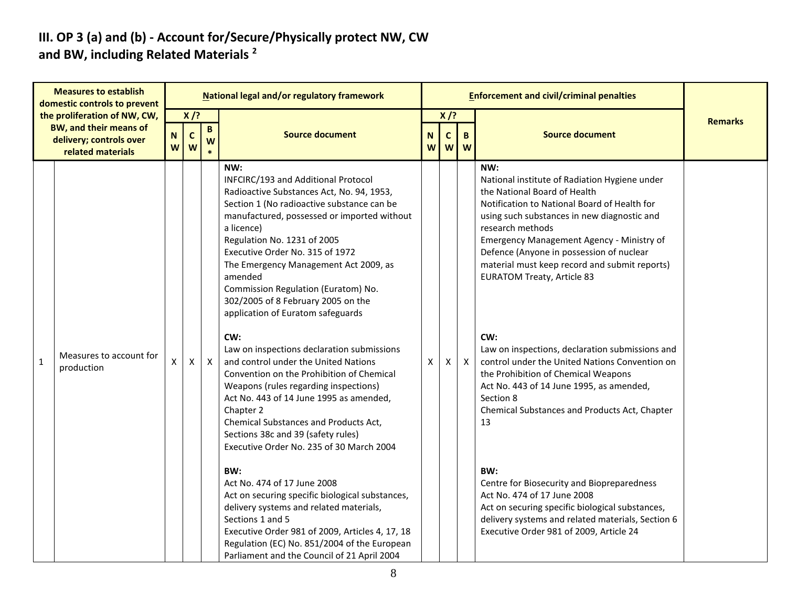#### **III. OP 3 (a) and (b) - Account for/Secure/Physically protect NW, CW and BW, including Related Materials <sup>2</sup>**

|              | <b>Measures to establish</b><br>domestic controls to prevent                                                  |                  |                            |                                 | National legal and/or regulatory framework                                                                                                                                                                                                                                                                                                                                                                                                                                                                                                                                                                                                                                                                                                                                                                                                                                                                                                                                                                                                                                                                                 |        |                                    |                   | <b>Enforcement and civil/criminal penalties</b>                                                                                                                                                                                                                                                                                                                                                                                                                                                                                                                                                                                                                                                                                                                                                                                                                                                  |                |
|--------------|---------------------------------------------------------------------------------------------------------------|------------------|----------------------------|---------------------------------|----------------------------------------------------------------------------------------------------------------------------------------------------------------------------------------------------------------------------------------------------------------------------------------------------------------------------------------------------------------------------------------------------------------------------------------------------------------------------------------------------------------------------------------------------------------------------------------------------------------------------------------------------------------------------------------------------------------------------------------------------------------------------------------------------------------------------------------------------------------------------------------------------------------------------------------------------------------------------------------------------------------------------------------------------------------------------------------------------------------------------|--------|------------------------------------|-------------------|--------------------------------------------------------------------------------------------------------------------------------------------------------------------------------------------------------------------------------------------------------------------------------------------------------------------------------------------------------------------------------------------------------------------------------------------------------------------------------------------------------------------------------------------------------------------------------------------------------------------------------------------------------------------------------------------------------------------------------------------------------------------------------------------------------------------------------------------------------------------------------------------------|----------------|
|              | the proliferation of NW, CW,<br><b>BW, and their means of</b><br>delivery; controls over<br>related materials | $\mathbf N$<br>W | $X$ /?<br>$\mathbf C$<br>W | $\, {\bf B} \,$<br>W<br>$\star$ | <b>Source document</b>                                                                                                                                                                                                                                                                                                                                                                                                                                                                                                                                                                                                                                                                                                                                                                                                                                                                                                                                                                                                                                                                                                     | N<br>W | $X$ /?<br>$\mathsf{C}$<br><b>W</b> | $\mathbf{B}$<br>W | <b>Source document</b>                                                                                                                                                                                                                                                                                                                                                                                                                                                                                                                                                                                                                                                                                                                                                                                                                                                                           | <b>Remarks</b> |
| $\mathbf{1}$ | Measures to account for<br>production                                                                         | X                | X                          | $\mathsf{X}$                    | NW:<br>INFCIRC/193 and Additional Protocol<br>Radioactive Substances Act, No. 94, 1953,<br>Section 1 (No radioactive substance can be<br>manufactured, possessed or imported without<br>a licence)<br>Regulation No. 1231 of 2005<br>Executive Order No. 315 of 1972<br>The Emergency Management Act 2009, as<br>amended<br>Commission Regulation (Euratom) No.<br>302/2005 of 8 February 2005 on the<br>application of Euratom safeguards<br>CW:<br>Law on inspections declaration submissions<br>and control under the United Nations<br>Convention on the Prohibition of Chemical<br>Weapons (rules regarding inspections)<br>Act No. 443 of 14 June 1995 as amended,<br>Chapter 2<br>Chemical Substances and Products Act,<br>Sections 38c and 39 (safety rules)<br>Executive Order No. 235 of 30 March 2004<br>BW:<br>Act No. 474 of 17 June 2008<br>Act on securing specific biological substances,<br>delivery systems and related materials,<br>Sections 1 and 5<br>Executive Order 981 of 2009, Articles 4, 17, 18<br>Regulation (EC) No. 851/2004 of the European<br>Parliament and the Council of 21 April 2004 | X      | X                                  | $\mathsf{X}$      | NW:<br>National institute of Radiation Hygiene under<br>the National Board of Health<br>Notification to National Board of Health for<br>using such substances in new diagnostic and<br>research methods<br>Emergency Management Agency - Ministry of<br>Defence (Anyone in possession of nuclear<br>material must keep record and submit reports)<br><b>EURATOM Treaty, Article 83</b><br>CW:<br>Law on inspections, declaration submissions and<br>control under the United Nations Convention on<br>the Prohibition of Chemical Weapons<br>Act No. 443 of 14 June 1995, as amended,<br>Section 8<br>Chemical Substances and Products Act, Chapter<br>13<br>BW:<br>Centre for Biosecurity and Biopreparedness<br>Act No. 474 of 17 June 2008<br>Act on securing specific biological substances,<br>delivery systems and related materials, Section 6<br>Executive Order 981 of 2009, Article 24 |                |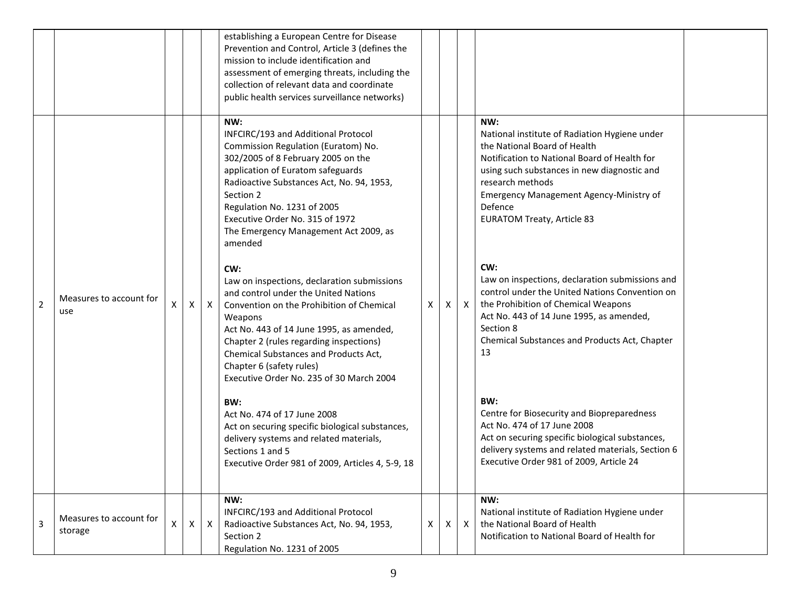|                |                                    |   |              |              | establishing a European Centre for Disease<br>Prevention and Control, Article 3 (defines the<br>mission to include identification and<br>assessment of emerging threats, including the<br>collection of relevant data and coordinate<br>public health services surveillance networks)                                                                                                                                                                                                                                                                                                                                                                                                                      |   |              |              |                                                                                                                                                                                                                                                                                                                                                                                                                                                                                                                                                                       |  |
|----------------|------------------------------------|---|--------------|--------------|------------------------------------------------------------------------------------------------------------------------------------------------------------------------------------------------------------------------------------------------------------------------------------------------------------------------------------------------------------------------------------------------------------------------------------------------------------------------------------------------------------------------------------------------------------------------------------------------------------------------------------------------------------------------------------------------------------|---|--------------|--------------|-----------------------------------------------------------------------------------------------------------------------------------------------------------------------------------------------------------------------------------------------------------------------------------------------------------------------------------------------------------------------------------------------------------------------------------------------------------------------------------------------------------------------------------------------------------------------|--|
| $\overline{2}$ | Measures to account for<br>use     | X | X            | $\mathsf{X}$ | NW:<br>INFCIRC/193 and Additional Protocol<br>Commission Regulation (Euratom) No.<br>302/2005 of 8 February 2005 on the<br>application of Euratom safeguards<br>Radioactive Substances Act, No. 94, 1953,<br>Section 2<br>Regulation No. 1231 of 2005<br>Executive Order No. 315 of 1972<br>The Emergency Management Act 2009, as<br>amended<br>CW:<br>Law on inspections, declaration submissions<br>and control under the United Nations<br>Convention on the Prohibition of Chemical<br>Weapons<br>Act No. 443 of 14 June 1995, as amended,<br>Chapter 2 (rules regarding inspections)<br>Chemical Substances and Products Act,<br>Chapter 6 (safety rules)<br>Executive Order No. 235 of 30 March 2004 | X | X            | $\mathsf{X}$ | NW:<br>National institute of Radiation Hygiene under<br>the National Board of Health<br>Notification to National Board of Health for<br>using such substances in new diagnostic and<br>research methods<br>Emergency Management Agency-Ministry of<br>Defence<br><b>EURATOM Treaty, Article 83</b><br>CW:<br>Law on inspections, declaration submissions and<br>control under the United Nations Convention on<br>the Prohibition of Chemical Weapons<br>Act No. 443 of 14 June 1995, as amended,<br>Section 8<br>Chemical Substances and Products Act, Chapter<br>13 |  |
|                |                                    |   |              |              | BW:<br>Act No. 474 of 17 June 2008<br>Act on securing specific biological substances,<br>delivery systems and related materials,<br>Sections 1 and 5<br>Executive Order 981 of 2009, Articles 4, 5-9, 18                                                                                                                                                                                                                                                                                                                                                                                                                                                                                                   |   |              |              | BW:<br>Centre for Biosecurity and Biopreparedness<br>Act No. 474 of 17 June 2008<br>Act on securing specific biological substances,<br>delivery systems and related materials, Section 6<br>Executive Order 981 of 2009, Article 24                                                                                                                                                                                                                                                                                                                                   |  |
| 3              | Measures to account for<br>storage | X | $\mathsf{X}$ | $\mathsf{x}$ | NW:<br>INFCIRC/193 and Additional Protocol<br>Radioactive Substances Act, No. 94, 1953,<br>Section 2<br>Regulation No. 1231 of 2005                                                                                                                                                                                                                                                                                                                                                                                                                                                                                                                                                                        | X | $\mathsf{X}$ | $\mathsf{X}$ | NW:<br>National institute of Radiation Hygiene under<br>the National Board of Health<br>Notification to National Board of Health for                                                                                                                                                                                                                                                                                                                                                                                                                                  |  |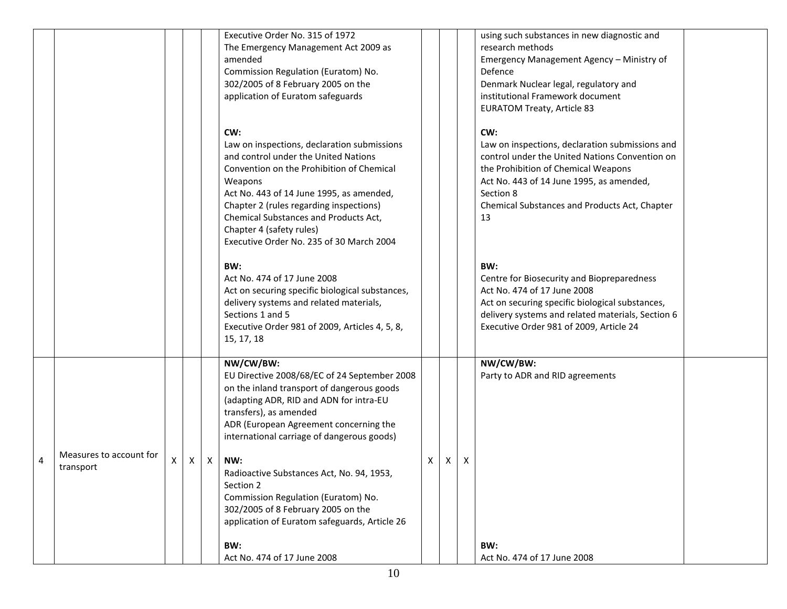|   |                                      |   |   |              | Executive Order No. 315 of 1972<br>The Emergency Management Act 2009 as<br>amended<br>Commission Regulation (Euratom) No.<br>302/2005 of 8 February 2005 on the<br>application of Euratom safeguards                                                                                                                                                       |   |   |   | using such substances in new diagnostic and<br>research methods<br>Emergency Management Agency - Ministry of<br>Defence<br>Denmark Nuclear legal, regulatory and<br>institutional Framework document<br><b>EURATOM Treaty, Article 83</b>                       |  |
|---|--------------------------------------|---|---|--------------|------------------------------------------------------------------------------------------------------------------------------------------------------------------------------------------------------------------------------------------------------------------------------------------------------------------------------------------------------------|---|---|---|-----------------------------------------------------------------------------------------------------------------------------------------------------------------------------------------------------------------------------------------------------------------|--|
|   |                                      |   |   |              | CW:<br>Law on inspections, declaration submissions<br>and control under the United Nations<br>Convention on the Prohibition of Chemical<br>Weapons<br>Act No. 443 of 14 June 1995, as amended,<br>Chapter 2 (rules regarding inspections)<br>Chemical Substances and Products Act,<br>Chapter 4 (safety rules)<br>Executive Order No. 235 of 30 March 2004 |   |   |   | CW:<br>Law on inspections, declaration submissions and<br>control under the United Nations Convention on<br>the Prohibition of Chemical Weapons<br>Act No. 443 of 14 June 1995, as amended,<br>Section 8<br>Chemical Substances and Products Act, Chapter<br>13 |  |
|   |                                      |   |   |              | BW:<br>Act No. 474 of 17 June 2008<br>Act on securing specific biological substances,<br>delivery systems and related materials,<br>Sections 1 and 5<br>Executive Order 981 of 2009, Articles 4, 5, 8,<br>15, 17, 18                                                                                                                                       |   |   |   | BW:<br>Centre for Biosecurity and Biopreparedness<br>Act No. 474 of 17 June 2008<br>Act on securing specific biological substances,<br>delivery systems and related materials, Section 6<br>Executive Order 981 of 2009, Article 24                             |  |
|   |                                      |   |   |              | NW/CW/BW:<br>EU Directive 2008/68/EC of 24 September 2008<br>on the inland transport of dangerous goods<br>(adapting ADR, RID and ADN for intra-EU<br>transfers), as amended<br>ADR (European Agreement concerning the<br>international carriage of dangerous goods)                                                                                       |   |   |   | NW/CW/BW:<br>Party to ADR and RID agreements                                                                                                                                                                                                                    |  |
| 4 | Measures to account for<br>transport | X | X | $\mathsf{X}$ | NW:<br>Radioactive Substances Act, No. 94, 1953,<br>Section 2<br>Commission Regulation (Euratom) No.<br>302/2005 of 8 February 2005 on the<br>application of Euratom safeguards, Article 26                                                                                                                                                                | Χ | X | X |                                                                                                                                                                                                                                                                 |  |
|   |                                      |   |   |              | BW:<br>Act No. 474 of 17 June 2008                                                                                                                                                                                                                                                                                                                         |   |   |   | BW:<br>Act No. 474 of 17 June 2008                                                                                                                                                                                                                              |  |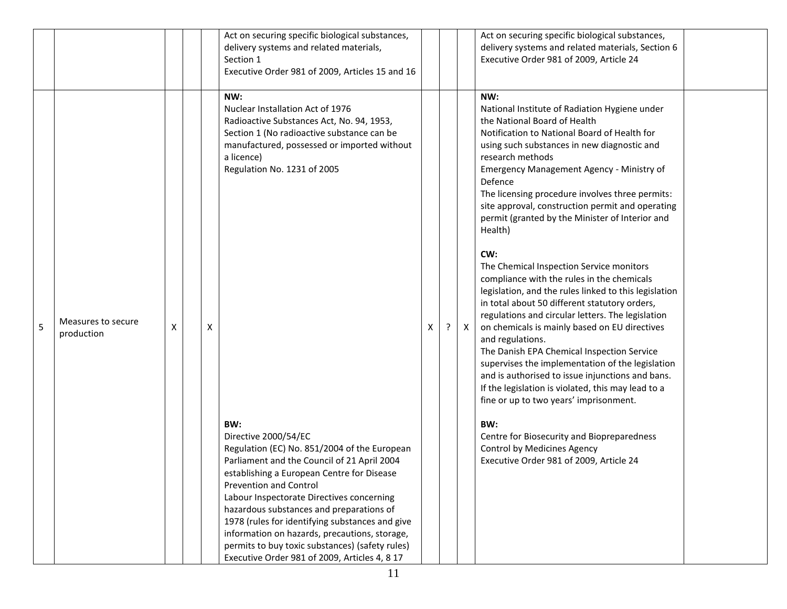|   |                                  |   |   | Act on securing specific biological substances,<br>delivery systems and related materials,<br>Section 1<br>Executive Order 981 of 2009, Articles 15 and 16                                                                                                                                                                                                                                                                                                                                                                                                                                                                                                                                                                                   |   |   |   | Act on securing specific biological substances,<br>delivery systems and related materials, Section 6<br>Executive Order 981 of 2009, Article 24                                                                                                                                                                                                                                                                                                                                                                                                                                                                                                                                                                                                                                                                                                                                                                                                                                                                                                                                                                                                                |  |
|---|----------------------------------|---|---|----------------------------------------------------------------------------------------------------------------------------------------------------------------------------------------------------------------------------------------------------------------------------------------------------------------------------------------------------------------------------------------------------------------------------------------------------------------------------------------------------------------------------------------------------------------------------------------------------------------------------------------------------------------------------------------------------------------------------------------------|---|---|---|----------------------------------------------------------------------------------------------------------------------------------------------------------------------------------------------------------------------------------------------------------------------------------------------------------------------------------------------------------------------------------------------------------------------------------------------------------------------------------------------------------------------------------------------------------------------------------------------------------------------------------------------------------------------------------------------------------------------------------------------------------------------------------------------------------------------------------------------------------------------------------------------------------------------------------------------------------------------------------------------------------------------------------------------------------------------------------------------------------------------------------------------------------------|--|
| 5 | Measures to secure<br>production | х | х | NW:<br>Nuclear Installation Act of 1976<br>Radioactive Substances Act, No. 94, 1953,<br>Section 1 (No radioactive substance can be<br>manufactured, possessed or imported without<br>a licence)<br>Regulation No. 1231 of 2005<br>BW:<br>Directive 2000/54/EC<br>Regulation (EC) No. 851/2004 of the European<br>Parliament and the Council of 21 April 2004<br>establishing a European Centre for Disease<br><b>Prevention and Control</b><br>Labour Inspectorate Directives concerning<br>hazardous substances and preparations of<br>1978 (rules for identifying substances and give<br>information on hazards, precautions, storage,<br>permits to buy toxic substances) (safety rules)<br>Executive Order 981 of 2009, Articles 4, 8 17 | X | ? | X | NW:<br>National Institute of Radiation Hygiene under<br>the National Board of Health<br>Notification to National Board of Health for<br>using such substances in new diagnostic and<br>research methods<br>Emergency Management Agency - Ministry of<br>Defence<br>The licensing procedure involves three permits:<br>site approval, construction permit and operating<br>permit (granted by the Minister of Interior and<br>Health)<br>CW:<br>The Chemical Inspection Service monitors<br>compliance with the rules in the chemicals<br>legislation, and the rules linked to this legislation<br>in total about 50 different statutory orders,<br>regulations and circular letters. The legislation<br>on chemicals is mainly based on EU directives<br>and regulations.<br>The Danish EPA Chemical Inspection Service<br>supervises the implementation of the legislation<br>and is authorised to issue injunctions and bans.<br>If the legislation is violated, this may lead to a<br>fine or up to two years' imprisonment.<br>BW:<br>Centre for Biosecurity and Biopreparedness<br>Control by Medicines Agency<br>Executive Order 981 of 2009, Article 24 |  |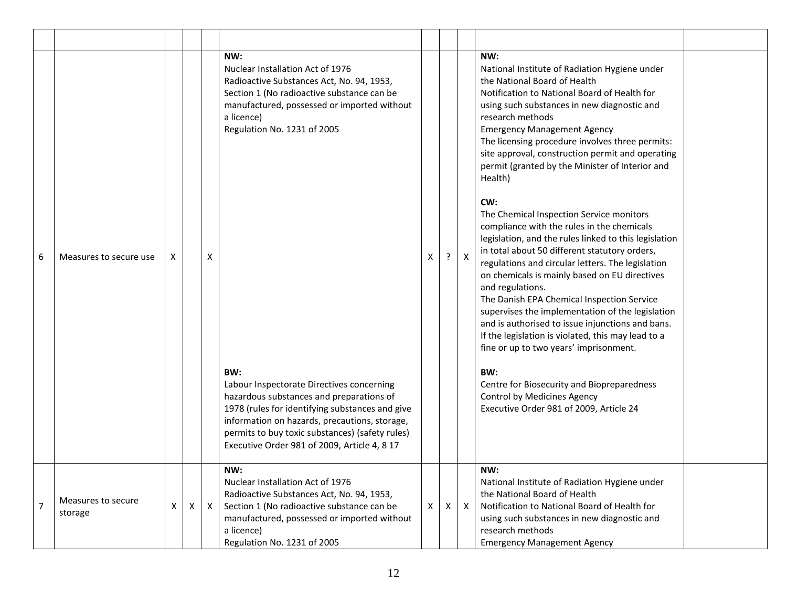| 6              | Measures to secure use        | X |   | X            | NW:<br>Nuclear Installation Act of 1976<br>Radioactive Substances Act, No. 94, 1953,<br>Section 1 (No radioactive substance can be<br>manufactured, possessed or imported without<br>a licence)<br>Regulation No. 1231 of 2005<br>BW:<br>Labour Inspectorate Directives concerning<br>hazardous substances and preparations of<br>1978 (rules for identifying substances and give<br>information on hazards, precautions, storage,<br>permits to buy toxic substances) (safety rules) | X | ? | $\mathsf{X}$ | NW:<br>National Institute of Radiation Hygiene under<br>the National Board of Health<br>Notification to National Board of Health for<br>using such substances in new diagnostic and<br>research methods<br><b>Emergency Management Agency</b><br>The licensing procedure involves three permits:<br>site approval, construction permit and operating<br>permit (granted by the Minister of Interior and<br>Health)<br>CW:<br>The Chemical Inspection Service monitors<br>compliance with the rules in the chemicals<br>legislation, and the rules linked to this legislation<br>in total about 50 different statutory orders,<br>regulations and circular letters. The legislation<br>on chemicals is mainly based on EU directives<br>and regulations.<br>The Danish EPA Chemical Inspection Service<br>supervises the implementation of the legislation<br>and is authorised to issue injunctions and bans.<br>If the legislation is violated, this may lead to a<br>fine or up to two years' imprisonment.<br>BW:<br>Centre for Biosecurity and Biopreparedness<br>Control by Medicines Agency<br>Executive Order 981 of 2009, Article 24 |  |
|----------------|-------------------------------|---|---|--------------|---------------------------------------------------------------------------------------------------------------------------------------------------------------------------------------------------------------------------------------------------------------------------------------------------------------------------------------------------------------------------------------------------------------------------------------------------------------------------------------|---|---|--------------|----------------------------------------------------------------------------------------------------------------------------------------------------------------------------------------------------------------------------------------------------------------------------------------------------------------------------------------------------------------------------------------------------------------------------------------------------------------------------------------------------------------------------------------------------------------------------------------------------------------------------------------------------------------------------------------------------------------------------------------------------------------------------------------------------------------------------------------------------------------------------------------------------------------------------------------------------------------------------------------------------------------------------------------------------------------------------------------------------------------------------------------------|--|
|                |                               |   |   |              | Executive Order 981 of 2009, Article 4, 8 17                                                                                                                                                                                                                                                                                                                                                                                                                                          |   |   |              |                                                                                                                                                                                                                                                                                                                                                                                                                                                                                                                                                                                                                                                                                                                                                                                                                                                                                                                                                                                                                                                                                                                                              |  |
| $\overline{7}$ | Measures to secure<br>storage | X | Χ | $\mathsf{X}$ | NW:<br>Nuclear Installation Act of 1976<br>Radioactive Substances Act, No. 94, 1953,<br>Section 1 (No radioactive substance can be<br>manufactured, possessed or imported without<br>a licence)<br>Regulation No. 1231 of 2005                                                                                                                                                                                                                                                        | X | X | $\mathsf{X}$ | NW:<br>National Institute of Radiation Hygiene under<br>the National Board of Health<br>Notification to National Board of Health for<br>using such substances in new diagnostic and<br>research methods<br><b>Emergency Management Agency</b>                                                                                                                                                                                                                                                                                                                                                                                                                                                                                                                                                                                                                                                                                                                                                                                                                                                                                                |  |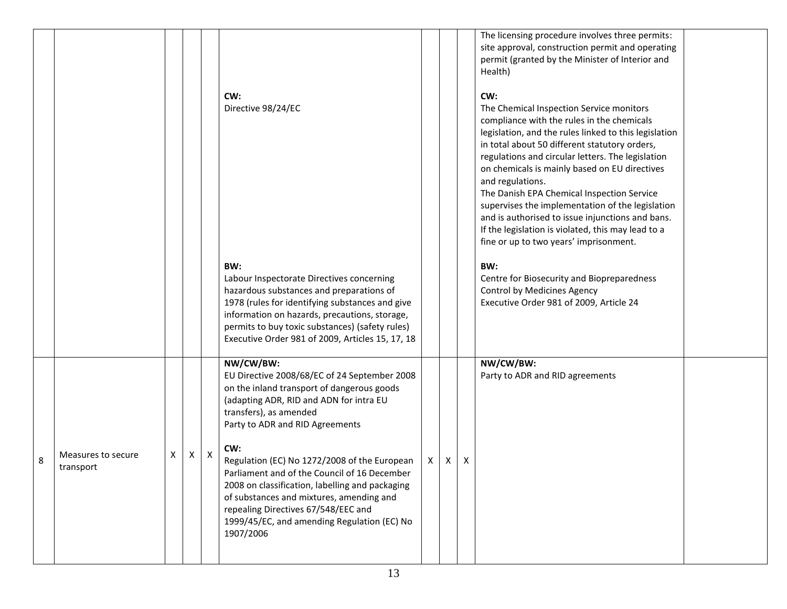|   |                                 |   |   |   | CW:<br>Directive 98/24/EC<br>BW:<br>Labour Inspectorate Directives concerning<br>hazardous substances and preparations of<br>1978 (rules for identifying substances and give<br>information on hazards, precautions, storage,<br>permits to buy toxic substances) (safety rules)<br>Executive Order 981 of 2009, Articles 15, 17, 18                                                                                                                                                                                     |   |              |              | The licensing procedure involves three permits:<br>site approval, construction permit and operating<br>permit (granted by the Minister of Interior and<br>Health)<br>CW:<br>The Chemical Inspection Service monitors<br>compliance with the rules in the chemicals<br>legislation, and the rules linked to this legislation<br>in total about 50 different statutory orders,<br>regulations and circular letters. The legislation<br>on chemicals is mainly based on EU directives<br>and regulations.<br>The Danish EPA Chemical Inspection Service<br>supervises the implementation of the legislation<br>and is authorised to issue injunctions and bans.<br>If the legislation is violated, this may lead to a<br>fine or up to two years' imprisonment.<br>BW:<br>Centre for Biosecurity and Biopreparedness<br>Control by Medicines Agency<br>Executive Order 981 of 2009, Article 24 |  |
|---|---------------------------------|---|---|---|--------------------------------------------------------------------------------------------------------------------------------------------------------------------------------------------------------------------------------------------------------------------------------------------------------------------------------------------------------------------------------------------------------------------------------------------------------------------------------------------------------------------------|---|--------------|--------------|---------------------------------------------------------------------------------------------------------------------------------------------------------------------------------------------------------------------------------------------------------------------------------------------------------------------------------------------------------------------------------------------------------------------------------------------------------------------------------------------------------------------------------------------------------------------------------------------------------------------------------------------------------------------------------------------------------------------------------------------------------------------------------------------------------------------------------------------------------------------------------------------|--|
| 8 | Measures to secure<br>transport | X | Х | X | NW/CW/BW:<br>EU Directive 2008/68/EC of 24 September 2008<br>on the inland transport of dangerous goods<br>(adapting ADR, RID and ADN for intra EU<br>transfers), as amended<br>Party to ADR and RID Agreements<br>CW:<br>Regulation (EC) No 1272/2008 of the European<br>Parliament and of the Council of 16 December<br>2008 on classification, labelling and packaging<br>of substances and mixtures, amending and<br>repealing Directives 67/548/EEC and<br>1999/45/EC, and amending Regulation (EC) No<br>1907/2006 | X | $\mathsf{X}$ | $\mathsf{X}$ | NW/CW/BW:<br>Party to ADR and RID agreements                                                                                                                                                                                                                                                                                                                                                                                                                                                                                                                                                                                                                                                                                                                                                                                                                                                |  |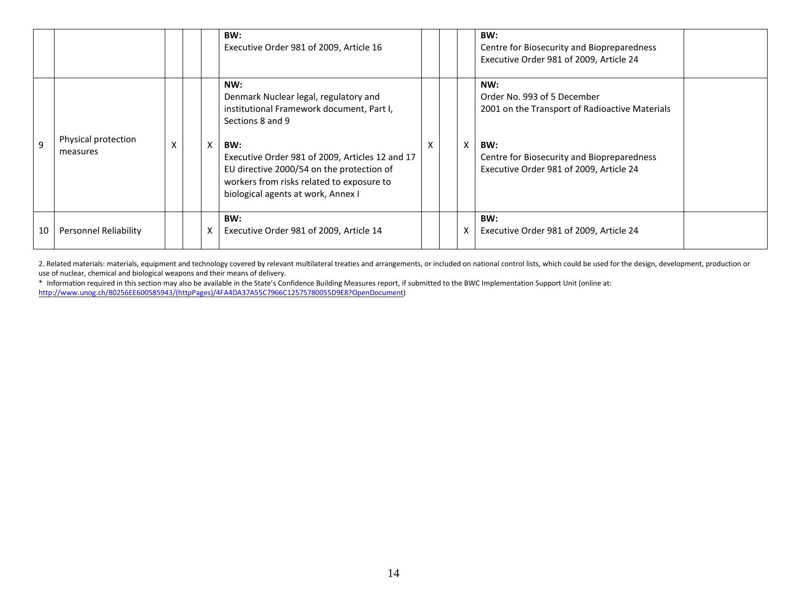|              |                                 |   |   | BW:<br>Executive Order 981 of 2009, Article 16                                                                                                                                                                                                                                                          |   |          | BW:<br>Centre for Biosecurity and Biopreparedness<br>Executive Order 981 of 2009, Article 24                                                                                         |  |
|--------------|---------------------------------|---|---|---------------------------------------------------------------------------------------------------------------------------------------------------------------------------------------------------------------------------------------------------------------------------------------------------------|---|----------|--------------------------------------------------------------------------------------------------------------------------------------------------------------------------------------|--|
| $\mathbf{q}$ | Physical protection<br>measures | X | X | NW:<br>Denmark Nuclear legal, regulatory and<br>institutional Framework document, Part I,<br>Sections 8 and 9<br>BW:<br>Executive Order 981 of 2009, Articles 12 and 17<br>EU directive 2000/54 on the protection of<br>workers from risks related to exposure to<br>biological agents at work, Annex I | X | $\times$ | NW:<br>Order No. 993 of 5 December<br>2001 on the Transport of Radioactive Materials<br>BW:<br>Centre for Biosecurity and Biopreparedness<br>Executive Order 981 of 2009, Article 24 |  |
| 10           | Personnel Reliability           |   |   | BW:<br>Executive Order 981 of 2009, Article 14                                                                                                                                                                                                                                                          |   |          | BW:<br>Executive Order 981 of 2009, Article 24                                                                                                                                       |  |

2. Related materials: materials, equipment and technology covered by relevant multilateral treaties and arrangements, or included on national control lists, which could be used for the design, development, production or use of nuclear, chemical and biological weapons and their means of delivery.

\* Information required in this section may also be available in the State's Confidence Building Measures report, if submitted to the BWC Implementation Support Unit (online at: [http://www.unog.ch/80256EE600585943/\(httpPages\)/4FA4DA37A55C7966C12575780055D9E8?OpenDocument\)](http://www.unog.ch/80256EE600585943/(httpPages)/4FA4DA37A55C7966C12575780055D9E8?OpenDocument)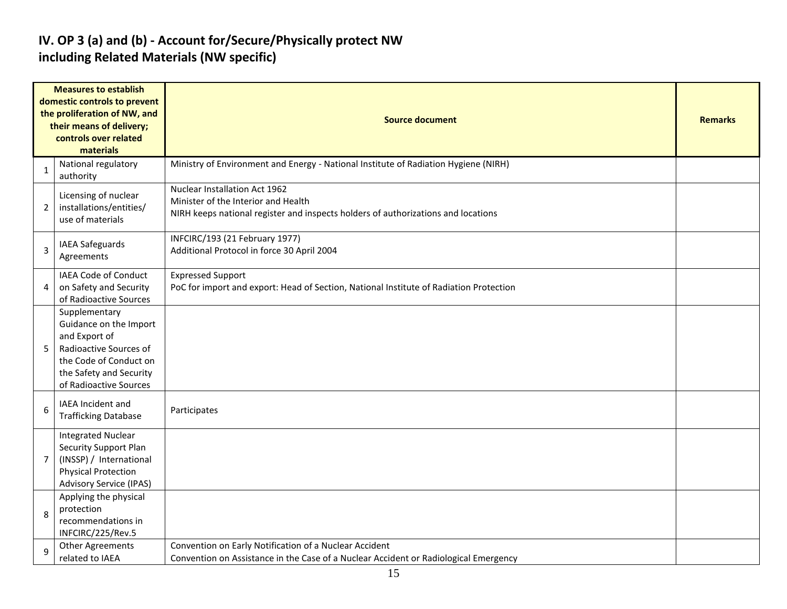#### **IV. OP 3 (a) and (b) - Account for/Secure/Physically protect NW including Related Materials (NW specific)**

| <b>Measures to establish</b><br>domestic controls to prevent<br>the proliferation of NW, and<br>their means of delivery; |                                                                                                                                                                   | <b>Source document</b>                                                                                                                                    |  |  |  |  |  |  |  |
|--------------------------------------------------------------------------------------------------------------------------|-------------------------------------------------------------------------------------------------------------------------------------------------------------------|-----------------------------------------------------------------------------------------------------------------------------------------------------------|--|--|--|--|--|--|--|
|                                                                                                                          | controls over related<br>materials                                                                                                                                |                                                                                                                                                           |  |  |  |  |  |  |  |
| 1                                                                                                                        | National regulatory<br>authority                                                                                                                                  | Ministry of Environment and Energy - National Institute of Radiation Hygiene (NIRH)                                                                       |  |  |  |  |  |  |  |
| $\overline{2}$                                                                                                           | Licensing of nuclear<br>installations/entities/<br>use of materials                                                                                               | Nuclear Installation Act 1962<br>Minister of the Interior and Health<br>NIRH keeps national register and inspects holders of authorizations and locations |  |  |  |  |  |  |  |
| 3                                                                                                                        | IAEA Safeguards<br>Agreements                                                                                                                                     | INFCIRC/193 (21 February 1977)<br>Additional Protocol in force 30 April 2004                                                                              |  |  |  |  |  |  |  |
| 4                                                                                                                        | <b>IAEA Code of Conduct</b><br>on Safety and Security<br>of Radioactive Sources                                                                                   | <b>Expressed Support</b><br>PoC for import and export: Head of Section, National Institute of Radiation Protection                                        |  |  |  |  |  |  |  |
| 5                                                                                                                        | Supplementary<br>Guidance on the Import<br>and Export of<br>Radioactive Sources of<br>the Code of Conduct on<br>the Safety and Security<br>of Radioactive Sources |                                                                                                                                                           |  |  |  |  |  |  |  |
| 6                                                                                                                        | <b>IAEA Incident and</b><br><b>Trafficking Database</b>                                                                                                           | Participates                                                                                                                                              |  |  |  |  |  |  |  |
| 7                                                                                                                        | <b>Integrated Nuclear</b><br>Security Support Plan<br>(INSSP) / International<br><b>Physical Protection</b><br><b>Advisory Service (IPAS)</b>                     |                                                                                                                                                           |  |  |  |  |  |  |  |
| 8                                                                                                                        | Applying the physical<br>protection<br>recommendations in<br>INFCIRC/225/Rev.5                                                                                    |                                                                                                                                                           |  |  |  |  |  |  |  |
| 9                                                                                                                        | <b>Other Agreements</b><br>related to IAEA                                                                                                                        | Convention on Early Notification of a Nuclear Accident<br>Convention on Assistance in the Case of a Nuclear Accident or Radiological Emergency            |  |  |  |  |  |  |  |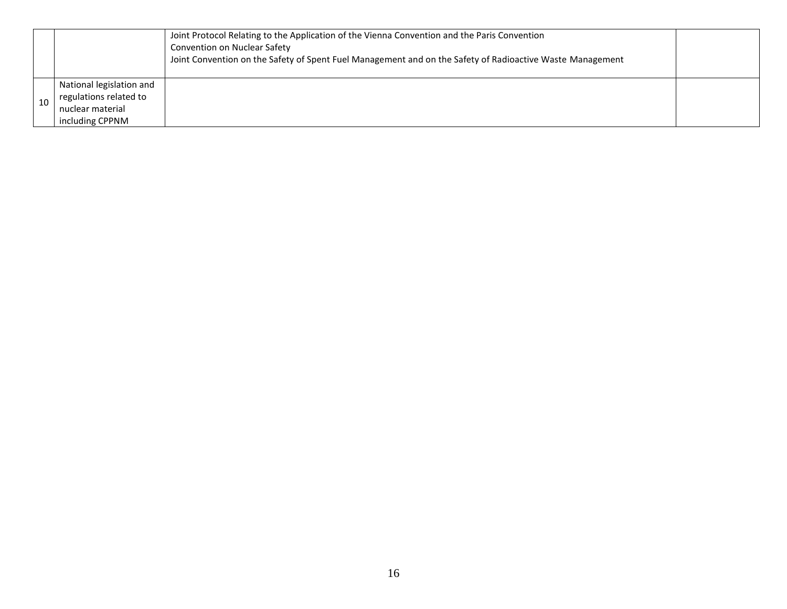|    |                          | Joint Protocol Relating to the Application of the Vienna Convention and the Paris Convention<br>Convention on Nuclear Safety<br>Joint Convention on the Safety of Spent Fuel Management and on the Safety of Radioactive Waste Management |  |
|----|--------------------------|-------------------------------------------------------------------------------------------------------------------------------------------------------------------------------------------------------------------------------------------|--|
|    | National legislation and |                                                                                                                                                                                                                                           |  |
| 10 | regulations related to   |                                                                                                                                                                                                                                           |  |
|    | nuclear material         |                                                                                                                                                                                                                                           |  |
|    | including CPPNM          |                                                                                                                                                                                                                                           |  |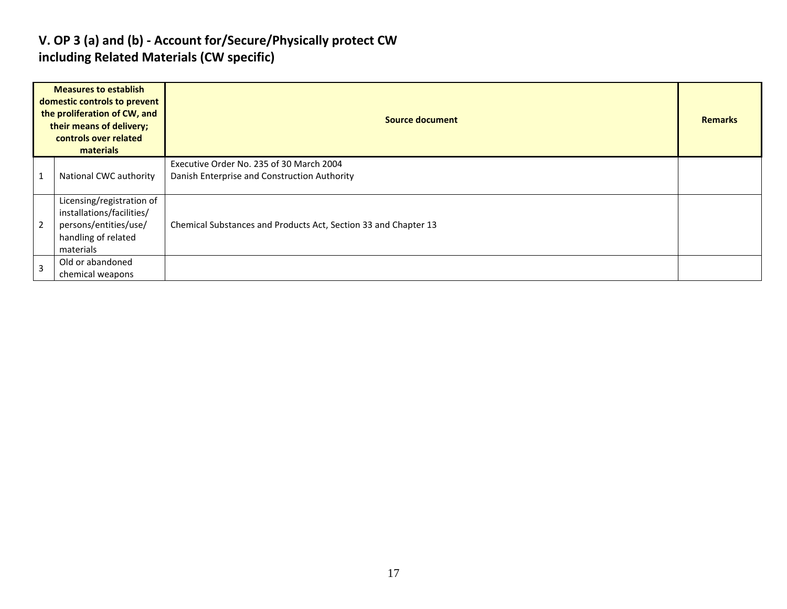#### **V. OP 3 (a) and (b) - Account for/Secure/Physically protect CW including Related Materials (CW specific)**

|                | <b>Measures to establish</b><br>domestic controls to prevent<br>the proliferation of CW, and<br>their means of delivery;<br>controls over related<br>materials | Source document                                                                          |  |  |  |  |  |  |
|----------------|----------------------------------------------------------------------------------------------------------------------------------------------------------------|------------------------------------------------------------------------------------------|--|--|--|--|--|--|
| $\overline{1}$ | National CWC authority                                                                                                                                         | Executive Order No. 235 of 30 March 2004<br>Danish Enterprise and Construction Authority |  |  |  |  |  |  |
| $\overline{2}$ | Licensing/registration of<br>installations/facilities/<br>persons/entities/use/<br>handling of related<br>materials                                            | Chemical Substances and Products Act, Section 33 and Chapter 13                          |  |  |  |  |  |  |
| $\overline{3}$ | Old or abandoned<br>chemical weapons                                                                                                                           |                                                                                          |  |  |  |  |  |  |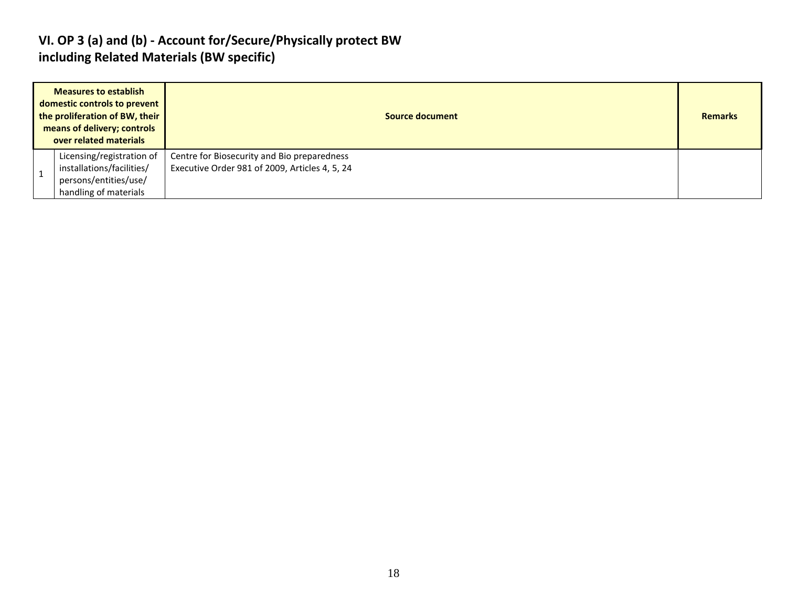#### **VI. OP 3 (a) and (b) - Account for/Secure/Physically protect BW including Related Materials (BW specific)**

| <b>Measures to establish</b><br>domestic controls to prevent<br>the proliferation of BW, their<br>means of delivery; controls<br>over related materials | Source document                                                                               |  |  |  |  |  |  |
|---------------------------------------------------------------------------------------------------------------------------------------------------------|-----------------------------------------------------------------------------------------------|--|--|--|--|--|--|
| Licensing/registration of<br>installations/facilities/<br>persons/entities/use/<br>handling of materials                                                | Centre for Biosecurity and Bio preparedness<br>Executive Order 981 of 2009, Articles 4, 5, 24 |  |  |  |  |  |  |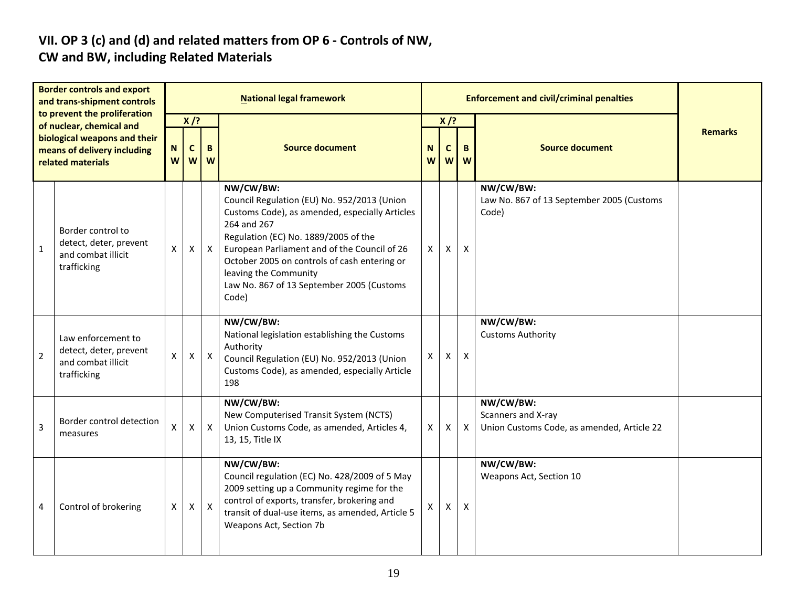# **VII. OP 3 (c) and (d) and related matters from OP 6 - Controls of NW,**

### **CW and BW, including Related Materials**

| <b>Border controls and export</b><br>and trans-shipment controls<br>to prevent the proliferation<br>of nuclear, chemical and<br>biological weapons and their<br>means of delivery including<br>related materials |                                                                                   | <b>National legal framework</b> |                            |              |                                                                                                                                                                                                                                                                                                                                                  |   |   | <b>Enforcement and civil/criminal penalties</b> |                                                                               |  |  |  |
|------------------------------------------------------------------------------------------------------------------------------------------------------------------------------------------------------------------|-----------------------------------------------------------------------------------|---------------------------------|----------------------------|--------------|--------------------------------------------------------------------------------------------------------------------------------------------------------------------------------------------------------------------------------------------------------------------------------------------------------------------------------------------------|---|---|-------------------------------------------------|-------------------------------------------------------------------------------|--|--|--|
|                                                                                                                                                                                                                  |                                                                                   | N<br>W                          | $X$ /?<br>$\mathbf c$<br>W | B<br>W       | $X$ /?<br><b>Source document</b><br><b>Source document</b><br>N<br>B<br>C<br>W<br>W<br>W                                                                                                                                                                                                                                                         |   |   |                                                 | <b>Remarks</b>                                                                |  |  |  |
| $\mathbf{1}$                                                                                                                                                                                                     | Border control to<br>detect, deter, prevent<br>and combat illicit<br>trafficking  | X                               | X                          | $\mathsf{X}$ | NW/CW/BW:<br>Council Regulation (EU) No. 952/2013 (Union<br>Customs Code), as amended, especially Articles<br>264 and 267<br>Regulation (EC) No. 1889/2005 of the<br>European Parliament and of the Council of 26<br>October 2005 on controls of cash entering or<br>leaving the Community<br>Law No. 867 of 13 September 2005 (Customs<br>Code) | X | Χ | Χ                                               | NW/CW/BW:<br>Law No. 867 of 13 September 2005 (Customs<br>Code)               |  |  |  |
| $\overline{2}$                                                                                                                                                                                                   | Law enforcement to<br>detect, deter, prevent<br>and combat illicit<br>trafficking | X                               | X                          | $\mathsf{X}$ | NW/CW/BW:<br>National legislation establishing the Customs<br>Authority<br>Council Regulation (EU) No. 952/2013 (Union<br>Customs Code), as amended, especially Article<br>198                                                                                                                                                                   | X | X | $\boldsymbol{\mathsf{X}}$                       | NW/CW/BW:<br><b>Customs Authority</b>                                         |  |  |  |
| $\overline{3}$                                                                                                                                                                                                   | Border control detection<br>measures                                              | X                               | $\mathsf{x}$               | $\mathsf{X}$ | NW/CW/BW:<br>New Computerised Transit System (NCTS)<br>Union Customs Code, as amended, Articles 4,<br>13, 15, Title IX                                                                                                                                                                                                                           | X | Χ | $\mathsf{X}$                                    | NW/CW/BW:<br>Scanners and X-ray<br>Union Customs Code, as amended, Article 22 |  |  |  |
| 4                                                                                                                                                                                                                | Control of brokering                                                              | X                               | X                          | $\mathsf{X}$ | NW/CW/BW:<br>Council regulation (EC) No. 428/2009 of 5 May<br>2009 setting up a Community regime for the<br>control of exports, transfer, brokering and<br>transit of dual-use items, as amended, Article 5<br>Weapons Act, Section 7b                                                                                                           | X | X | X                                               | NW/CW/BW:<br>Weapons Act, Section 10                                          |  |  |  |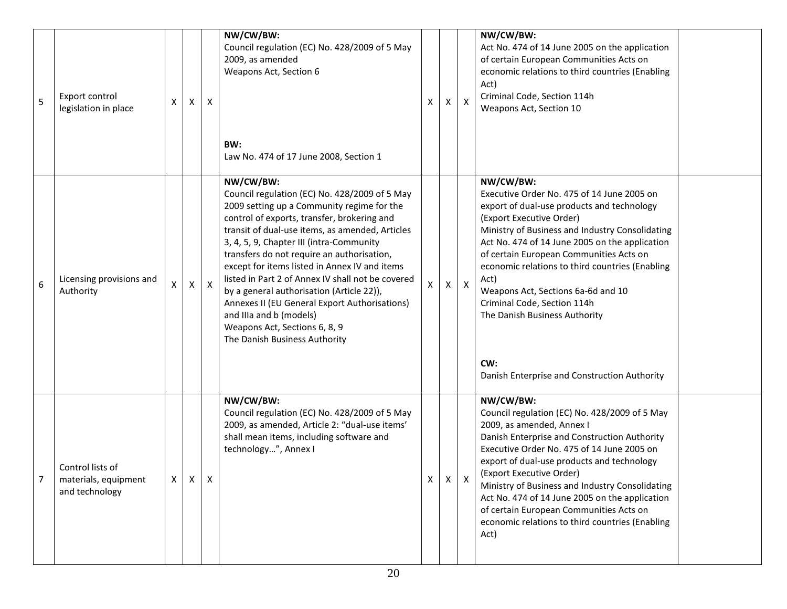| 5 | Export control<br>legislation in place                     | х                  | X            | X                | NW/CW/BW:<br>Council regulation (EC) No. 428/2009 of 5 May<br>2009, as amended<br>Weapons Act, Section 6<br>BW:<br>Law No. 474 of 17 June 2008, Section 1                                                                                                                                                                                                                                                                                                                                                                                                                                             | x | Χ        | Χ            | NW/CW/BW:<br>Act No. 474 of 14 June 2005 on the application<br>of certain European Communities Acts on<br>economic relations to third countries (Enabling<br>Act)<br>Criminal Code, Section 114h<br>Weapons Act, Section 10                                                                                                                                                                                                                                                                               |  |
|---|------------------------------------------------------------|--------------------|--------------|------------------|-------------------------------------------------------------------------------------------------------------------------------------------------------------------------------------------------------------------------------------------------------------------------------------------------------------------------------------------------------------------------------------------------------------------------------------------------------------------------------------------------------------------------------------------------------------------------------------------------------|---|----------|--------------|-----------------------------------------------------------------------------------------------------------------------------------------------------------------------------------------------------------------------------------------------------------------------------------------------------------------------------------------------------------------------------------------------------------------------------------------------------------------------------------------------------------|--|
| 6 | Licensing provisions and<br>Authority                      | $\pmb{\mathsf{X}}$ | X            | $\boldsymbol{X}$ | NW/CW/BW:<br>Council regulation (EC) No. 428/2009 of 5 May<br>2009 setting up a Community regime for the<br>control of exports, transfer, brokering and<br>transit of dual-use items, as amended, Articles<br>3, 4, 5, 9, Chapter III (intra-Community<br>transfers do not require an authorisation,<br>except for items listed in Annex IV and items<br>listed in Part 2 of Annex IV shall not be covered<br>by a general authorisation (Article 22)),<br>Annexes II (EU General Export Authorisations)<br>and IIIa and b (models)<br>Weapons Act, Sections 6, 8, 9<br>The Danish Business Authority | X | x        | $\mathsf{X}$ | NW/CW/BW:<br>Executive Order No. 475 of 14 June 2005 on<br>export of dual-use products and technology<br>(Export Executive Order)<br>Ministry of Business and Industry Consolidating<br>Act No. 474 of 14 June 2005 on the application<br>of certain European Communities Acts on<br>economic relations to third countries (Enabling<br>Act)<br>Weapons Act, Sections 6a-6d and 10<br>Criminal Code, Section 114h<br>The Danish Business Authority<br>CW:<br>Danish Enterprise and Construction Authority |  |
|   | Control lists of<br>materials, equipment<br>and technology | X                  | $\mathsf{X}$ | X                | NW/CW/BW:<br>Council regulation (EC) No. 428/2009 of 5 May<br>2009, as amended, Article 2: "dual-use items'<br>shall mean items, including software and<br>technology", Annex I                                                                                                                                                                                                                                                                                                                                                                                                                       | X | $\times$ |              | NW/CW/BW:<br>Council regulation (EC) No. 428/2009 of 5 May<br>2009, as amended, Annex I<br>Danish Enterprise and Construction Authority<br>Executive Order No. 475 of 14 June 2005 on<br>export of dual-use products and technology<br>(Export Executive Order)<br>Ministry of Business and Industry Consolidating<br>Act No. 474 of 14 June 2005 on the application<br>of certain European Communities Acts on<br>economic relations to third countries (Enabling<br>Act)                                |  |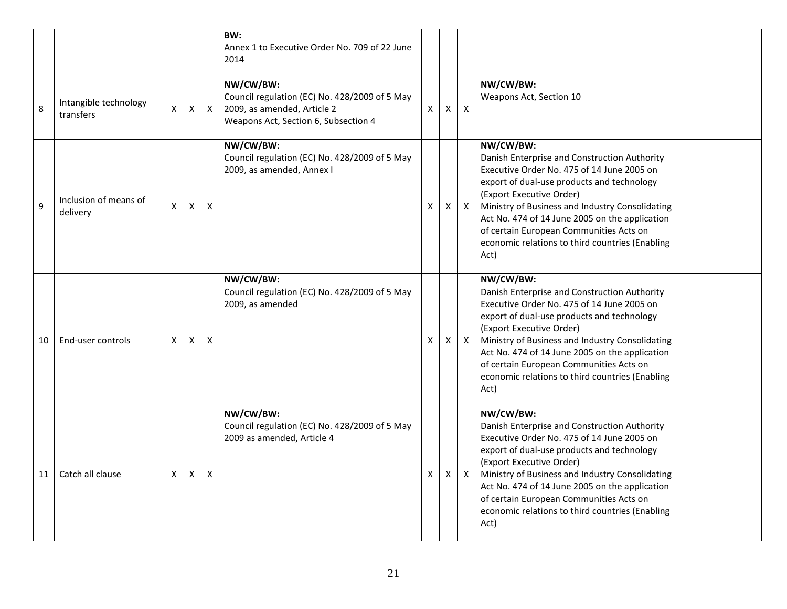|    |                                    |                |              |              | BW:<br>Annex 1 to Executive Order No. 709 of 22 June<br>2014                                                                      |          |          |              |                                                                                                                                                                                                                                                                                                                                                                                              |  |
|----|------------------------------------|----------------|--------------|--------------|-----------------------------------------------------------------------------------------------------------------------------------|----------|----------|--------------|----------------------------------------------------------------------------------------------------------------------------------------------------------------------------------------------------------------------------------------------------------------------------------------------------------------------------------------------------------------------------------------------|--|
| 8  | Intangible technology<br>transfers | $\mathsf{X}^-$ | $\mathsf{X}$ | $\mathsf{X}$ | NW/CW/BW:<br>Council regulation (EC) No. 428/2009 of 5 May<br>2009, as amended, Article 2<br>Weapons Act, Section 6, Subsection 4 | $\times$ | $\times$ | $\mathsf{X}$ | NW/CW/BW:<br>Weapons Act, Section 10                                                                                                                                                                                                                                                                                                                                                         |  |
| 9  | Inclusion of means of<br>delivery  | X              | $\mathsf{x}$ | X            | NW/CW/BW:<br>Council regulation (EC) No. 428/2009 of 5 May<br>2009, as amended, Annex I                                           | X        | x        | $\mathsf{X}$ | NW/CW/BW:<br>Danish Enterprise and Construction Authority<br>Executive Order No. 475 of 14 June 2005 on<br>export of dual-use products and technology<br>(Export Executive Order)<br>Ministry of Business and Industry Consolidating<br>Act No. 474 of 14 June 2005 on the application<br>of certain European Communities Acts on<br>economic relations to third countries (Enabling<br>Act) |  |
| 10 | End-user controls                  | X              | $\mathsf{x}$ | X            | NW/CW/BW:<br>Council regulation (EC) No. 428/2009 of 5 May<br>2009, as amended                                                    | X        | X        | $\mathsf{X}$ | NW/CW/BW:<br>Danish Enterprise and Construction Authority<br>Executive Order No. 475 of 14 June 2005 on<br>export of dual-use products and technology<br>(Export Executive Order)<br>Ministry of Business and Industry Consolidating<br>Act No. 474 of 14 June 2005 on the application<br>of certain European Communities Acts on<br>economic relations to third countries (Enabling<br>Act) |  |
| 11 | Catch all clause                   | X              | X            | $\mathsf{x}$ | NW/CW/BW:<br>Council regulation (EC) No. 428/2009 of 5 May<br>2009 as amended, Article 4                                          | X        | Χ        | $\mathsf{X}$ | NW/CW/BW:<br>Danish Enterprise and Construction Authority<br>Executive Order No. 475 of 14 June 2005 on<br>export of dual-use products and technology<br>(Export Executive Order)<br>Ministry of Business and Industry Consolidating<br>Act No. 474 of 14 June 2005 on the application<br>of certain European Communities Acts on<br>economic relations to third countries (Enabling<br>Act) |  |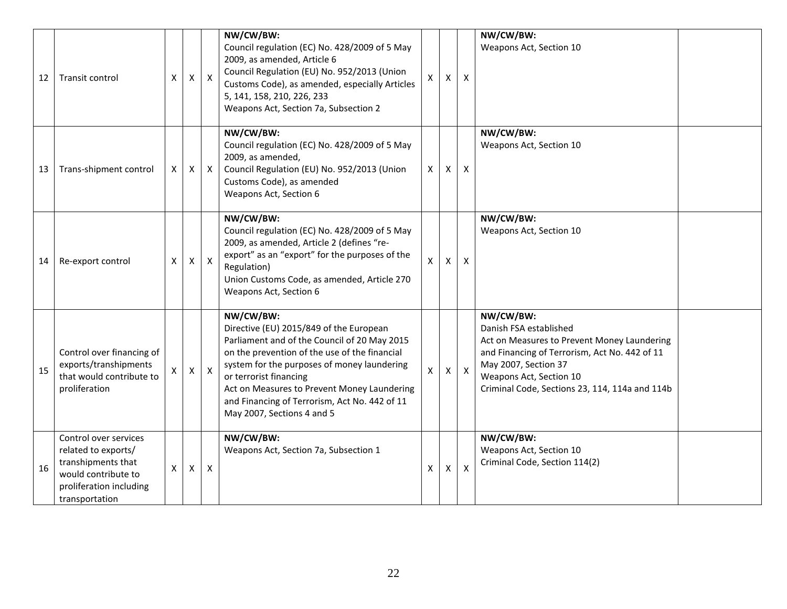| 12 | Transit control                                                                                                                        | X                  | X            | $\mathsf{X}$     | NW/CW/BW:<br>Council regulation (EC) No. 428/2009 of 5 May<br>2009, as amended, Article 6<br>Council Regulation (EU) No. 952/2013 (Union<br>Customs Code), as amended, especially Articles<br>5, 141, 158, 210, 226, 233<br>Weapons Act, Section 7a, Subsection 2                                                                                            | $\mathsf{X}$              | X            | $\mathsf{X}$   | NW/CW/BW:<br>Weapons Act, Section 10                                                                                                                                                                                                     |  |
|----|----------------------------------------------------------------------------------------------------------------------------------------|--------------------|--------------|------------------|--------------------------------------------------------------------------------------------------------------------------------------------------------------------------------------------------------------------------------------------------------------------------------------------------------------------------------------------------------------|---------------------------|--------------|----------------|------------------------------------------------------------------------------------------------------------------------------------------------------------------------------------------------------------------------------------------|--|
| 13 | Trans-shipment control                                                                                                                 | X                  | X            | $\mathsf{X}$     | NW/CW/BW:<br>Council regulation (EC) No. 428/2009 of 5 May<br>2009, as amended,<br>Council Regulation (EU) No. 952/2013 (Union<br>Customs Code), as amended<br>Weapons Act, Section 6                                                                                                                                                                        | $\mathsf{X}$              | X            | $\mathsf{X}$   | NW/CW/BW:<br>Weapons Act, Section 10                                                                                                                                                                                                     |  |
| 14 | Re-export control                                                                                                                      | X                  | X            | $\mathsf{X}$     | NW/CW/BW:<br>Council regulation (EC) No. 428/2009 of 5 May<br>2009, as amended, Article 2 (defines "re-<br>export" as an "export" for the purposes of the<br>Regulation)<br>Union Customs Code, as amended, Article 270<br>Weapons Act, Section 6                                                                                                            | $\mathsf{x}$              | X            | X              | NW/CW/BW:<br>Weapons Act, Section 10                                                                                                                                                                                                     |  |
| 15 | Control over financing of<br>exports/transhipments<br>that would contribute to<br>proliferation                                        |                    | $\mathsf{X}$ | $\boldsymbol{X}$ | NW/CW/BW:<br>Directive (EU) 2015/849 of the European<br>Parliament and of the Council of 20 May 2015<br>on the prevention of the use of the financial<br>system for the purposes of money laundering<br>or terrorist financing<br>Act on Measures to Prevent Money Laundering<br>and Financing of Terrorism, Act No. 442 of 11<br>May 2007, Sections 4 and 5 | $\mathsf{X}$              | $\mathsf{X}$ | $\mathsf{X}$   | NW/CW/BW:<br>Danish FSA established<br>Act on Measures to Prevent Money Laundering<br>and Financing of Terrorism, Act No. 442 of 11<br>May 2007, Section 37<br>Weapons Act, Section 10<br>Criminal Code, Sections 23, 114, 114a and 114b |  |
| 16 | Control over services<br>related to exports/<br>transhipments that<br>would contribute to<br>proliferation including<br>transportation | $\pmb{\mathsf{X}}$ | X            | $\boldsymbol{X}$ | NW/CW/BW:<br>Weapons Act, Section 7a, Subsection 1                                                                                                                                                                                                                                                                                                           | $\boldsymbol{\mathsf{X}}$ | X            | $\pmb{\times}$ | NW/CW/BW:<br>Weapons Act, Section 10<br>Criminal Code, Section 114(2)                                                                                                                                                                    |  |